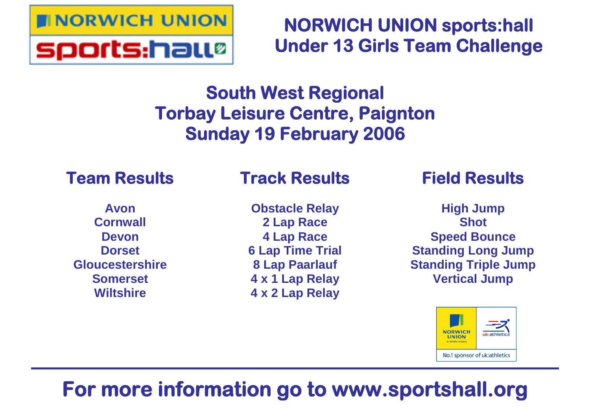

# **NORWICH UNION sports:hall Under 13 Girls Team Challenge**

# **South West Regional Torbay Leisure Centre, Paignton Sunday 19 February 2006**

# **Team Results**

# **Track Results**

**Avon Cornwall Devon Dorset Gloucestershire Somerset Wiltshire**

**Obstacle Relay 2 Lap Race 4 Lap Race 6 Lap Time Trial 8 Lap Paarlauf 4 x 1 Lap Relay 4 x 2 Lap Relay**

# **Field Results**

**High Jump Shot Speed Bounce Standing Long Jump Standing Triple Jump Vertical Jump**



# **For more information go to www.sportshall.org**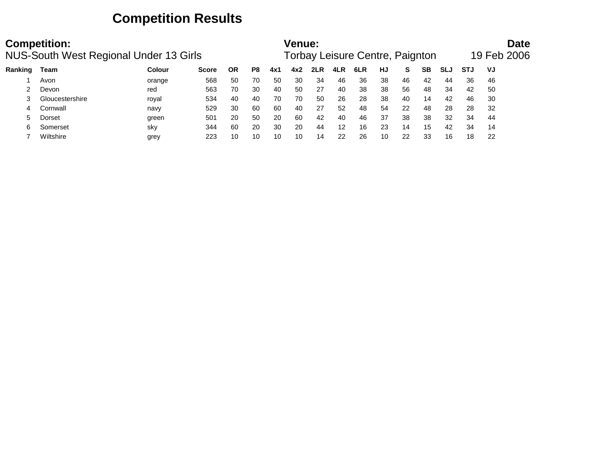## **Competition Results**

|         | <b>Competition:</b><br><b>NUS-South West Regional Under 13 Girls</b> |        |              | Venue: |    |     | Forbay Leisure Centre, Paignton |     |     |     |    |    | Date<br>19 Feb 2006 |     |            |    |
|---------|----------------------------------------------------------------------|--------|--------------|--------|----|-----|---------------------------------|-----|-----|-----|----|----|---------------------|-----|------------|----|
| Ranking | Team                                                                 | Colour | <b>Score</b> | ΟR     | P8 | 4x1 | 4x2                             | 2LR | 4LR | 6LR | HJ | s  | SВ                  | SLJ | <b>STJ</b> | VJ |
|         | Avon                                                                 | orange | 568          | 50     | 70 | 50  | 30                              | 34  | 46  | 36  | 38 | 46 | 42                  | 44  | 36         | 46 |
|         | Devon                                                                | red    | 563          | 70     | 30 | 40  | 50                              | 27  | 40  | 38  | 38 | 56 | 48                  | 34  | 42         | 50 |
|         | Gloucestershire                                                      | royal  | 534          | 40     | 40 | 70  | 70                              | 50  | 26  | 28  | 38 | 40 | 14                  | 42  | 46         | 30 |
|         | Cornwall                                                             | navy   | 529          | 30     | 60 | 60  | 40                              | 27  | 52  | 48  | 54 | 22 | 48                  | 28  | 28         | 32 |
|         | Dorset                                                               | green  | 501          | 20     | 50 | 20  | 60                              | 42  | 40  | 46  | 37 | 38 | 38                  | 32  | 34         | 44 |
| 6       | Somerset                                                             | sky    | 344          | 60     | 20 | 30  | 20                              | 44  | 12  | 16  | 23 | 14 | 15                  | 42  | 34         | 14 |
|         | Wiltshire                                                            | grey   | 223          | 10     | 10 | 10  | 10                              | 14  | 22  | 26  | 10 | 22 | 33                  | 16  | 18         | 22 |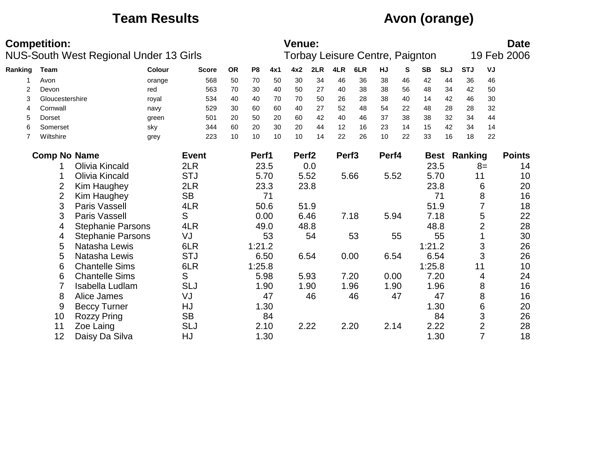## **Team Results Avon (orange)**

|         | <b>Competition:</b>   | <b>NUS-South West Regional Under 13 Girls</b> |               |              |           |                |      | <b>Venue:</b>     |      |                   | Torbay Leisure Centre, Paignton |       |    |           |            |                     |                | <b>Date</b><br>19 Feb 2006 |
|---------|-----------------------|-----------------------------------------------|---------------|--------------|-----------|----------------|------|-------------------|------|-------------------|---------------------------------|-------|----|-----------|------------|---------------------|----------------|----------------------------|
| Ranking | Team                  |                                               | <b>Colour</b> | <b>Score</b> | <b>OR</b> | P <sub>8</sub> | 4x1  | 4x2               | 2LR  | 4LR               | 6LR                             | HJ    | S  | <b>SB</b> | <b>SLJ</b> | <b>STJ</b>          | VJ             |                            |
|         | Avon                  |                                               | orange        | 568          | 50        | 70             | 50   | 30                | 34   | 46                | 36                              | 38    | 46 | 42        | 44         | 36                  | 46             |                            |
| 2       | Devon                 |                                               | red           | 563          | 70        | 30             | 40   | 50                | 27   | 40                | 38                              | 38    | 56 | 48        | 34         | 42                  | 50             |                            |
| 3       | Gloucestershire       |                                               | royal         | 534          | 40        | 40             | 70   | 70                | 50   | 26                | 28                              | 38    | 40 | 14        | 42         | 46                  | 30             |                            |
| 4       | Cornwall              |                                               | navy          | 529          | 30        | 60             | 60   | 40                | 27   | 52                | 48                              | 54    | 22 | 48        | 28         | 28                  | 32             |                            |
| 5       | Dorset                |                                               | green         | 501          | 20        | 50             | 20   | 60                | 42   | 40                | 46                              | 37    | 38 | 38        | 32         | 34                  | 44             |                            |
| 6       | Somerset              |                                               | sky           | 344          | 60        | 20             | 30   | 20                | 44   | 12                | 16                              | 23    | 14 | 15        | 42         | 34                  | 14             |                            |
| 7       | Wiltshire             |                                               | grey          | 223          | 10        | 10             | 10   | 10                | 14   | 22                | 26                              | 10    | 22 | 33        | 16         | 18                  | 22             |                            |
|         | <b>Comp No Name</b>   |                                               |               | <b>Event</b> |           | Perf1          |      | Perf <sub>2</sub> |      | Perf <sub>3</sub> |                                 | Perf4 |    |           |            | <b>Best Ranking</b> |                | <b>Points</b>              |
|         |                       | <b>Olivia Kincald</b>                         |               | 2LR          |           |                | 23.5 |                   | 0.0  |                   |                                 |       |    |           | 23.5       |                     | $8=$           | 14                         |
|         | <b>Olivia Kincald</b> |                                               | <b>STJ</b>    |              | 5.70      |                |      | 5.52              |      | 5.66              | 5.52                            |       |    | 5.70      | 11         |                     | 10             |                            |
|         | 2                     | Kim Haughey                                   |               | 2LR          |           |                | 23.3 |                   | 23.8 |                   |                                 |       |    |           | 23.8       |                     | 6              | 20                         |
|         | 2                     | Kim Haughey                                   |               | <b>SB</b>    |           |                | 71   |                   |      |                   |                                 |       |    |           | 71         |                     | 8              | 16                         |
|         | 3                     | Paris Vassell                                 |               | 4LR          |           |                | 50.6 |                   | 51.9 |                   |                                 |       |    |           | 51.9       |                     |                | 18                         |
|         | 3                     | <b>Paris Vassell</b>                          |               | S            |           | 0.00           |      |                   | 6.46 |                   | 7.18                            | 5.94  |    | 7.18      |            |                     | 5              | 22                         |
|         | 4                     | <b>Stephanie Parsons</b>                      |               | 4LR          |           | 49.0           |      |                   | 48.8 |                   |                                 |       |    | 48.8      |            |                     | $\overline{2}$ | 28                         |
|         | 4                     | <b>Stephanie Parsons</b>                      |               | VJ           |           |                | 53   |                   | 54   |                   | 53                              |       | 55 |           | 55         |                     |                | 30                         |
|         | 5                     | Natasha Lewis                                 |               | 6LR          |           | 1:21.2         |      |                   |      |                   |                                 |       |    | 1:21.2    |            |                     | 3              | 26                         |
|         | 5                     | Natasha Lewis                                 |               | <b>STJ</b>   |           | 6.50           |      |                   | 6.54 |                   | 0.00                            | 6.54  |    | 6.54      |            |                     | 3              | 26                         |
|         | 6                     | <b>Chantelle Sims</b>                         |               | 6LR          |           | 1:25.8         |      |                   |      |                   |                                 |       |    | 1:25.8    |            | 11                  |                | 10                         |
|         | 6                     | <b>Chantelle Sims</b>                         |               | S            |           | 5.98           |      |                   | 5.93 |                   | 7.20                            | 0.00  |    |           | 7.20       |                     | 4              | 24                         |
|         |                       | Isabella Ludlam                               |               | <b>SLJ</b>   |           |                | 1.90 |                   | 1.90 |                   | 1.96                            | 1.90  |    |           | 1.96       |                     | 8              | 16                         |
|         | 8                     | Alice James                                   |               | VJ           |           |                | 47   |                   | 46   |                   | 46                              |       | 47 |           | 47         |                     | 8              | 16                         |
|         | 9                     | <b>Beccy Turner</b>                           |               | HJ           |           |                | 1.30 |                   |      |                   |                                 |       |    |           | 1.30       |                     | 6              | 20                         |
|         | 10                    | <b>Rozzy Pring</b>                            |               | <b>SB</b>    |           |                | 84   |                   |      |                   |                                 |       |    |           | 84         |                     | 3              | 26                         |
|         | 11                    | Zoe Laing                                     |               | <b>SLJ</b>   |           |                | 2.10 |                   | 2.22 |                   | 2.20                            | 2.14  |    |           | 2.22       |                     | $\overline{2}$ | 28                         |
|         | 12                    | Daisy Da Silva                                |               | HJ           |           |                | 1.30 |                   |      |                   |                                 |       |    |           | 1.30       |                     | $\overline{7}$ | 18                         |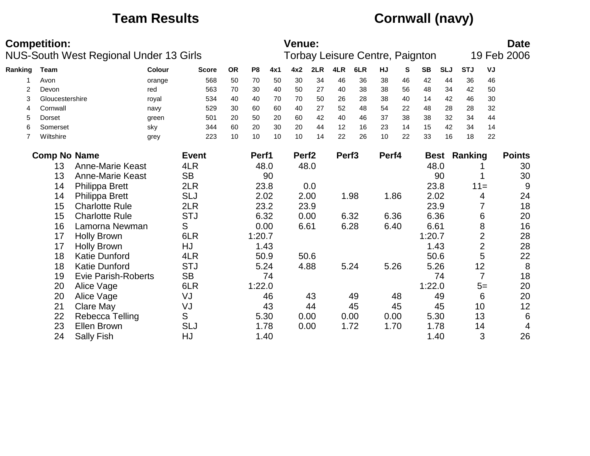## **Team Results Cornwall (navy)**

|                | <b>Competition:</b> | NUS-South West Regional Under 13 Girls |               |              |           |                |      | Venue:            |      |                   | Torbay Leisure Centre, Paignton |       |    |           |            |                     |                | <b>Date</b><br>19 Feb 2006 |
|----------------|---------------------|----------------------------------------|---------------|--------------|-----------|----------------|------|-------------------|------|-------------------|---------------------------------|-------|----|-----------|------------|---------------------|----------------|----------------------------|
| Ranking        | <b>Team</b>         |                                        | <b>Colour</b> | <b>Score</b> | <b>OR</b> | P <sub>8</sub> | 4x1  | 4x2               | 2LR  | 4LR               | 6LR                             | HJ    | S  | <b>SB</b> | <b>SLJ</b> | <b>STJ</b>          | VJ             |                            |
|                | Avon                |                                        | orange        | 568          | 50        | 70             | 50   | 30                | 34   | 46                | 36                              | 38    | 46 | 42        | 44         | 36                  | 46             |                            |
| $\overline{2}$ | Devon               |                                        | red           | 563          | 70        | 30             | 40   | 50                | 27   | 40                | 38                              | 38    | 56 | 48        | 34         | 42                  | 50             |                            |
| 3              | Gloucestershire     |                                        | royal         | 534          | 40        | 40             | 70   | 70                | 50   | 26                | 28                              | 38    | 40 | 14        | 42         | 46                  | 30             |                            |
| 4              | Cornwall            |                                        | navy          | 529          | 30        | 60             | 60   | 40                | 27   | 52                | 48                              | 54    | 22 | 48        | 28         | 28                  | 32             |                            |
| 5              | Dorset              |                                        | green         | 501          | 20        | 50             | 20   | 60                | 42   | 40                | 46                              | 37    | 38 | 38        | 32         | 34                  | 44             |                            |
| 6              | Somerset            |                                        | sky           | 344          | 60        | 20             | 30   | 20                | 44   | 12                | 16                              | 23    | 14 | 15        | 42         | 34                  | 14             |                            |
| 7              | Wiltshire           |                                        | grey          | 223          | 10        | 10             | 10   | 10                | 14   | 22                | 26                              | 10    | 22 | 33        | 16         | 18                  | 22             |                            |
|                | <b>Comp No Name</b> |                                        |               | <b>Event</b> |           | Perf1          |      | Perf <sub>2</sub> |      | Perf <sub>3</sub> |                                 | Perf4 |    |           |            | <b>Best Ranking</b> |                | <b>Points</b>              |
|                | 13                  | <b>Anne-Marie Keast</b>                |               | 4LR          |           |                | 48.0 |                   | 48.0 |                   |                                 |       |    |           | 48.0       |                     |                | 30                         |
|                | 13                  | Anne-Marie Keast                       |               | <b>SB</b>    |           |                | 90   |                   |      |                   |                                 |       |    |           | 90         |                     |                | 30                         |
|                | 14                  | <b>Philippa Brett</b>                  |               | 2LR          |           |                | 23.8 |                   | 0.0  |                   |                                 |       |    |           | 23.8       | $11 =$              |                | 9                          |
|                | 14                  | <b>Philippa Brett</b>                  |               | <b>SLJ</b>   |           |                | 2.02 |                   | 2.00 |                   | 1.98                            | 1.86  |    |           | 2.02       |                     | 4              | 24                         |
|                | 15                  | <b>Charlotte Rule</b>                  |               | 2LR          |           |                | 23.2 |                   | 23.9 |                   |                                 |       |    |           | 23.9       |                     |                | 18                         |
|                | 15                  | <b>Charlotte Rule</b>                  |               | <b>STJ</b>   |           |                | 6.32 |                   | 0.00 |                   | 6.32                            | 6.36  |    |           | 6.36       |                     | 6              | 20                         |
|                | 16                  | Lamorna Newman                         |               | S            |           |                | 0.00 | 6.61              |      |                   | 6.28                            | 6.40  |    | 6.61      |            |                     | 8              | 16                         |
|                | 17                  | <b>Holly Brown</b>                     |               | 6LR          |           | 1:20.7         |      |                   |      |                   |                                 |       |    | 1:20.7    |            |                     | $\overline{2}$ | 28                         |
|                | 17                  | <b>Holly Brown</b>                     |               | HJ           |           |                | 1.43 |                   |      |                   |                                 |       |    |           | 1.43       |                     | $\overline{2}$ | 28                         |
|                | 18                  | <b>Katie Dunford</b>                   |               | 4LR          |           |                | 50.9 |                   | 50.6 |                   |                                 |       |    |           | 50.6       |                     | 5              | 22                         |
|                | 18                  | <b>Katie Dunford</b>                   |               | <b>STJ</b>   |           |                | 5.24 |                   | 4.88 |                   | 5.24                            | 5.26  |    |           | 5.26       |                     | 12             | 8                          |
|                | 19                  | <b>Evie Parish-Roberts</b>             |               | <b>SB</b>    |           |                | 74   |                   |      |                   |                                 |       |    |           | 74         |                     | $\overline{7}$ | 18                         |
|                | 20                  | Alice Vage                             |               | 6LR          |           | 1:22.0         |      |                   |      |                   |                                 |       |    | 1:22.0    |            |                     | $5=$           | 20                         |
|                | 20                  | Alice Vage                             |               | VJ           |           |                | 46   |                   | 43   |                   | 49                              |       | 48 |           | 49         |                     | 6              | 20                         |
|                | 21                  | <b>Clare May</b>                       |               | VJ           |           |                | 43   |                   | 44   |                   | 45                              |       | 45 |           | 45         |                     | 10             | 12                         |
|                | 22                  | Rebecca Telling                        |               | $\mathsf S$  |           |                | 5.30 |                   | 0.00 |                   | 0.00                            | 0.00  |    |           | 5.30       |                     | 13             | $6\phantom{1}6$            |
|                | 23                  | <b>Ellen Brown</b>                     |               | <b>SLJ</b>   |           |                | 1.78 |                   | 0.00 |                   | 1.72                            | 1.70  |    |           | 1.78       |                     | 14             | $\overline{4}$             |
|                | 24                  | <b>Sally Fish</b>                      |               | HJ           |           |                | 1.40 |                   |      |                   |                                 |       |    |           | 1.40       |                     | 3              | 26                         |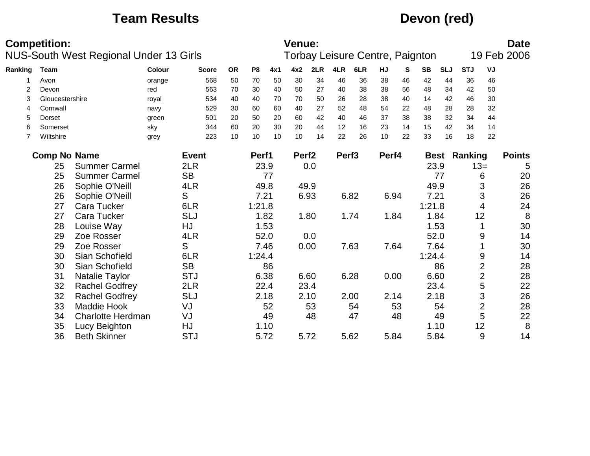## **Team Results Devon (red)**

|         | <b>Competition:</b>                     | <b>NUS-South West Regional Under 13 Girls</b> |               |              |           |                |      | <b>Venue:</b>     |      |                   | Torbay Leisure Centre, Paignton |       |    |           |            |                     |                | <b>Date</b><br>19 Feb 2006 |
|---------|-----------------------------------------|-----------------------------------------------|---------------|--------------|-----------|----------------|------|-------------------|------|-------------------|---------------------------------|-------|----|-----------|------------|---------------------|----------------|----------------------------|
| Ranking | Team                                    |                                               | <b>Colour</b> | <b>Score</b> | <b>OR</b> | P <sub>8</sub> | 4x1  | 4x2               | 2LR  | 4LR               | 6LR                             | HJ    | S  | <b>SB</b> | <b>SLJ</b> | <b>STJ</b>          | VJ             |                            |
|         | Avon                                    |                                               | orange        | 568          | 50        | 70             | 50   | 30                | 34   | 46                | 36                              | 38    | 46 | 42        | 44         | 36                  | 46             |                            |
| 2       | Devon                                   |                                               | red           | 563          | 70        | 30             | 40   | 50                | 27   | 40                | 38                              | 38    | 56 | 48        | 34         | 42                  | 50             |                            |
| 3       | Gloucestershire                         |                                               | royal         | 534          | 40        | 40             | 70   | 70                | 50   | 26                | 28                              | 38    | 40 | 14        | 42         | 46                  | 30             |                            |
| 4       | Cornwall                                |                                               | navy          | 529          | 30        | 60             | 60   | 40                | 27   | 52                | 48                              | 54    | 22 | 48        | 28         | 28                  | 32             |                            |
| 5       | Dorset                                  |                                               | green         | 501          | 20        | 50             | 20   | 60                | 42   | 40                | 46                              | 37    | 38 | 38        | 32         | 34                  | 44             |                            |
| 6       | Somerset                                |                                               | sky           | 344          | 60        | 20             | 30   | 20                | 44   | 12                | 16                              | 23    | 14 | 15        | 42         | 34                  | 14             |                            |
| 7       | Wiltshire                               |                                               | grey          | 223          | 10        | 10             | 10   | 10                | 14   | 22                | 26                              | 10    | 22 | 33        | 16         | 18                  | 22             |                            |
|         | <b>Comp No Name</b>                     |                                               |               | <b>Event</b> |           | Perf1          |      | Perf <sub>2</sub> |      | Perf <sub>3</sub> |                                 | Perf4 |    |           |            | <b>Best Ranking</b> |                | <b>Points</b>              |
|         | <b>Summer Carmel</b><br>2LR<br>25       |                                               |               |              |           |                | 23.9 |                   | 0.0  |                   |                                 |       |    | 23.9      |            |                     | $13=$          | 5                          |
|         | <b>SB</b><br>25<br><b>Summer Carmel</b> |                                               |               |              | 77        |                |      |                   |      |                   |                                 |       | 77 |           | 6          | 20                  |                |                            |
|         | 26                                      | Sophie O'Neill                                |               | 4LR          |           | 49.8           |      | 49.9              |      |                   |                                 |       |    | 49.9      |            |                     | 3              | 26                         |
|         | 26                                      | Sophie O'Neill                                |               | S            |           | 7.21           |      |                   | 6.93 |                   | 6.82                            | 6.94  |    | 7.21      |            |                     | 3              | 26                         |
|         | 27                                      | <b>Cara Tucker</b>                            |               | 6LR          |           | 1:21.8         |      |                   |      |                   |                                 |       |    | 1:21.8    |            |                     | 4              | 24                         |
|         | 27                                      | <b>Cara Tucker</b>                            |               | <b>SLJ</b>   |           | 1.82           |      |                   | 1.80 |                   | 1.74                            | 1.84  |    | 1.84      |            | 12                  |                | 8                          |
|         | 28                                      | Louise Way                                    |               | HJ           |           | 1.53           |      |                   |      |                   |                                 |       |    | 1.53      |            |                     |                | 30                         |
|         | 29                                      | Zoe Rosser                                    |               | 4LR          |           |                | 52.0 |                   | 0.0  |                   |                                 |       |    | 52.0      |            |                     | 9              | 14                         |
|         | 29                                      | Zoe Rosser                                    |               | S            |           | 7.46           |      | 0.00              |      |                   | 7.63                            | 7.64  |    | 7.64      |            |                     |                | 30                         |
|         | 30                                      | Sian Schofield                                |               | 6LR          |           | 1:24.4         |      |                   |      |                   |                                 |       |    | 1:24.4    |            |                     | 9              | 14                         |
|         | 30                                      | Sian Schofield                                |               | <b>SB</b>    |           |                | 86   |                   |      |                   |                                 |       |    |           | 86         |                     | $\overline{2}$ | 28                         |
|         | 31                                      | <b>Natalie Taylor</b>                         |               | <b>STJ</b>   |           | 6.38           |      |                   | 6.60 |                   | 6.28                            | 0.00  |    | 6.60      |            |                     | $\overline{2}$ | 28                         |
|         | 32                                      | <b>Rachel Godfrey</b>                         |               | 2LR          |           | 22.4           |      |                   | 23.4 |                   |                                 |       |    | 23.4      |            |                     | 5              | 22                         |
|         | 32                                      | <b>Rachel Godfrey</b>                         |               | <b>SLJ</b>   |           | 2.18           |      | 2.10              |      |                   | 2.00                            | 2.14  |    | 2.18      |            |                     | $\mathfrak{S}$ | 26                         |
|         | 33                                      | <b>Maddie Hook</b>                            |               | VJ           |           |                | 52   |                   | 53   |                   | 54                              |       | 53 |           | 54         |                     | $\overline{2}$ | 28                         |
|         | 34                                      | <b>Charlotte Herdman</b>                      |               | VJ           |           |                | 49   |                   | 48   |                   | 47                              |       | 48 |           | 49         |                     | 5              | 22                         |
|         | 35                                      | Lucy Beighton                                 |               | HJ           |           | 1.10           |      |                   |      |                   |                                 |       |    | 1.10      |            |                     | 12             | 8                          |
|         | 36                                      | <b>Beth Skinner</b>                           |               | <b>STJ</b>   |           | 5.72           |      |                   | 5.72 |                   | 5.62                            | 5.84  |    | 5.84      |            |                     | 9              | 14                         |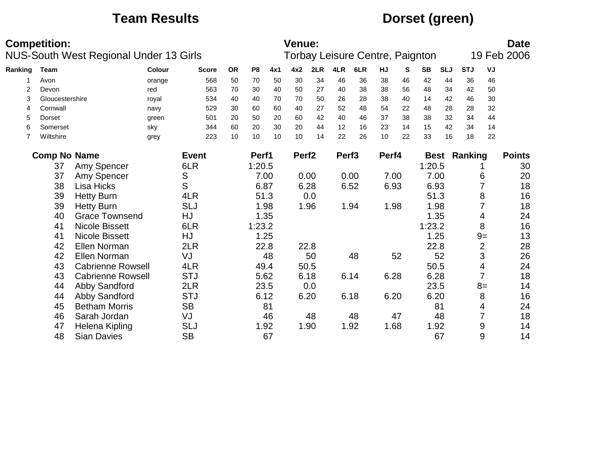## **Team Results Dorset (green)**

|         | <b>Competition:</b> | <b>NUS-South West Regional Under 13 Girls</b> |        |              |           |                |      | <b>Venue:</b>     |      |                   | <b>Torbay Leisure Centre, Paignton</b> |       |    |           |            |                     |                | <b>Date</b><br>19 Feb 2006 |
|---------|---------------------|-----------------------------------------------|--------|--------------|-----------|----------------|------|-------------------|------|-------------------|----------------------------------------|-------|----|-----------|------------|---------------------|----------------|----------------------------|
| Ranking | <b>Team</b>         |                                               | Colour | <b>Score</b> | <b>OR</b> | P <sub>8</sub> | 4x1  | 4x2               | 2LR  | 4LR               | 6LR                                    | HJ    | S  | <b>SB</b> | <b>SLJ</b> | <b>STJ</b>          | VJ             |                            |
|         | Avon                |                                               | orange | 568          | 50        | 70             | 50   | 30                | 34   | 46                | 36                                     | 38    | 46 | 42        | 44         | 36                  | 46             |                            |
| 2       | Devon               |                                               | red    | 563          | 70        | 30             | 40   | 50                | 27   | 40                | 38                                     | 38    | 56 | 48        | 34         | 42                  | 50             |                            |
| 3       | Gloucestershire     |                                               | royal  | 534          | 40        | 40             | 70   | 70                | 50   | 26                | 28                                     | 38    | 40 | 14        | 42         | 46                  | 30             |                            |
| 4       | Cornwall            |                                               | navy   | 529          | 30        | 60             | 60   | 40                | 27   | 52                | 48                                     | 54    | 22 | 48        | 28         | 28                  | 32             |                            |
| 5       | Dorset              |                                               | green  | 501          | 20        | 50             | 20   | 60                | 42   | 40                | 46                                     | 37    | 38 | 38        | 32         | 34                  | 44             |                            |
| 6       | Somerset            |                                               | sky    | 344          | 60        | 20             | 30   | 20                | 44   | 12                | 16                                     | 23    | 14 | 15        | 42         | 34                  | 14             |                            |
| 7       | Wiltshire           |                                               | grey   | 223          | 10        | 10             | 10   | 10                | 14   | 22                | 26                                     | 10    | 22 | 33        | 16         | 18                  | 22             |                            |
|         | <b>Comp No Name</b> |                                               |        | <b>Event</b> |           | Perf1          |      | Perf <sub>2</sub> |      | Perf <sub>3</sub> |                                        | Perf4 |    |           |            | <b>Best Ranking</b> |                | <b>Points</b>              |
|         | 37                  | Amy Spencer                                   |        | 6LR          |           | 1:20.5         |      |                   |      |                   |                                        |       |    | 1:20.5    |            |                     |                | 30                         |
|         | 37                  | Amy Spencer                                   |        | S            |           |                | 7.00 | 0.00              |      |                   | 0.00                                   | 7.00  |    | 7.00      |            |                     | 6              | 20                         |
|         | 38                  | Lisa Hicks                                    |        | S            |           | 6.87           |      |                   | 6.28 |                   | 6.52                                   | 6.93  |    | 6.93      |            |                     |                | 18                         |
|         | 39                  | <b>Hetty Burn</b>                             |        | 4LR          |           |                | 51.3 |                   | 0.0  |                   |                                        |       |    | 51.3      |            |                     | 8              | 16                         |
|         | 39                  | <b>Hetty Burn</b>                             |        | <b>SLJ</b>   |           |                | 1.98 |                   | 1.96 |                   | 1.94                                   | 1.98  |    | 1.98      |            |                     |                | 18                         |
|         | 40                  | <b>Grace Townsend</b>                         |        | HJ           |           |                | 1.35 |                   |      |                   |                                        |       |    | 1.35      |            |                     | 4              | 24                         |
|         | 41                  | <b>Nicole Bissett</b>                         |        | 6LR          |           | 1:23.2         |      |                   |      |                   |                                        |       |    | 1:23.2    |            |                     | 8              | 16                         |
|         | 41                  | <b>Nicole Bissett</b>                         |        | HJ           |           |                | 1.25 |                   |      |                   |                                        |       |    | 1.25      |            |                     | $9=$           | 13                         |
|         | 42                  | Ellen Norman                                  |        | 2LR          |           |                | 22.8 |                   | 22.8 |                   |                                        |       |    | 22.8      |            |                     | $\overline{2}$ | 28                         |
|         | 42                  | Ellen Norman                                  |        | VJ           |           |                | 48   |                   | 50   |                   | 48                                     |       | 52 |           | 52         |                     | 3              | 26                         |
|         | 43                  | <b>Cabrienne Rowsell</b>                      |        | 4LR          |           |                | 49.4 |                   | 50.5 |                   |                                        |       |    | 50.5      |            |                     | 4              | 24                         |
|         | 43                  | <b>Cabrienne Rowsell</b>                      |        | <b>STJ</b>   |           |                | 5.62 |                   | 6.18 |                   | 6.14                                   | 6.28  |    | 6.28      |            |                     | 7              | 18                         |
|         | 44                  | Abby Sandford                                 |        | 2LR          |           |                | 23.5 |                   | 0.0  |                   |                                        |       |    | 23.5      |            |                     | $8=$           | 14                         |
|         | 44                  | Abby Sandford                                 |        | <b>STJ</b>   |           |                | 6.12 |                   | 6.20 |                   | 6.18                                   | 6.20  |    | 6.20      |            |                     | 8              | 16                         |
|         | 45                  | <b>Betham Morris</b>                          |        | <b>SB</b>    |           |                | 81   |                   |      |                   |                                        |       |    |           | 81         |                     | 4              | 24                         |
|         | 46                  | Sarah Jordan                                  |        | VJ           |           |                | 46   |                   | 48   |                   | 48                                     |       | 47 |           | 48         |                     | 7              | 18                         |
|         | 47                  | Helena Kipling                                |        | <b>SLJ</b>   |           |                | 1.92 |                   | 1.90 |                   | 1.92                                   | 1.68  |    | 1.92      |            |                     | 9              | 14                         |
|         | 48                  | <b>Sian Davies</b>                            |        | <b>SB</b>    |           |                | 67   |                   |      |                   |                                        |       |    |           | 67         |                     | 9              | 14                         |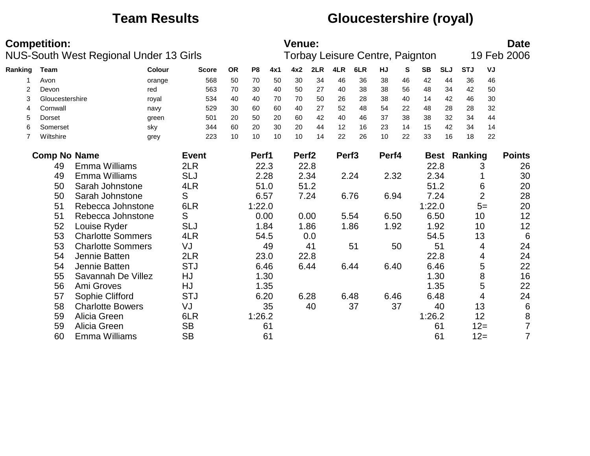## **Team Results Gloucestershire (royal)**

|         | <b>Competition:</b>        | <b>NUS-South West Regional Under 13 Girls</b> |        |              |           |                |      | <b>Venue:</b>     |      |                   | Torbay Leisure Centre, Paignton |       |    |           |            |                     |                | <b>Date</b><br>19 Feb 2006 |
|---------|----------------------------|-----------------------------------------------|--------|--------------|-----------|----------------|------|-------------------|------|-------------------|---------------------------------|-------|----|-----------|------------|---------------------|----------------|----------------------------|
| Ranking | <b>Team</b>                |                                               | Colour | <b>Score</b> | <b>OR</b> | P <sub>8</sub> | 4x1  | 4x2               | 2LR  | 4LR               | 6LR                             | HJ    | S  | <b>SB</b> | <b>SLJ</b> | <b>STJ</b>          | VJ             |                            |
|         | Avon                       |                                               | orange | 568          | 50        | 70             | 50   | 30                | 34   | 46                | 36                              | 38    | 46 | 42        | 44         | 36                  | 46             |                            |
| 2       | Devon                      |                                               | red    | 563          | 70        | 30             | 40   | 50                | 27   | 40                | 38                              | 38    | 56 | 48        | 34         | 42                  | 50             |                            |
| 3       | Gloucestershire            |                                               | royal  | 534          | 40        | 40             | 70   | 70                | 50   | 26                | 28                              | 38    | 40 | 14        | 42         | 46                  | 30             |                            |
| 4       | Cornwall                   |                                               | navy   | 529          | 30        | 60             | 60   | 40                | 27   | 52                | 48                              | 54    | 22 | 48        | 28         | 28                  | 32             |                            |
| 5       | Dorset                     |                                               | green  | 501          | 20        | 50             | 20   | 60                | 42   | 40                | 46                              | 37    | 38 | 38        | 32         | 34                  | 44             |                            |
| 6       | Somerset                   |                                               | sky    | 344          | 60        | 20             | 30   | 20                | 44   | 12                | 16                              | 23    | 14 | 15        | 42         | 34                  | 14             |                            |
| 7       | Wiltshire                  |                                               | grey   | 223          | 10        | 10             | 10   | 10                | 14   | 22                | 26                              | 10    | 22 | 33        | 16         | 18                  | 22             |                            |
|         | <b>Comp No Name</b>        |                                               |        | <b>Event</b> |           | Perf1          |      | Perf <sub>2</sub> |      | Perf <sub>3</sub> |                                 | Perf4 |    |           |            | <b>Best Ranking</b> |                | <b>Points</b>              |
|         | 2LR<br>Emma Williams<br>49 |                                               |        |              |           |                | 22.3 |                   | 22.8 |                   |                                 |       |    | 22.8      |            |                     | 3              | 26                         |
|         | 49                         | Emma Williams                                 |        | <b>SLJ</b>   |           |                | 2.28 |                   | 2.34 |                   | 2.24                            | 2.32  |    | 2.34      |            |                     |                | 30                         |
|         | 50                         | Sarah Johnstone                               |        | 4LR          |           |                | 51.0 |                   | 51.2 |                   |                                 |       |    | 51.2      |            |                     | 6              | 20                         |
|         | 50                         | Sarah Johnstone                               |        | S            |           | 6.57           |      |                   | 7.24 |                   | 6.76                            | 6.94  |    | 7.24      |            |                     | $\overline{2}$ | 28                         |
|         | 51                         | Rebecca Johnstone                             |        | 6LR          |           | 1:22.0         |      |                   |      |                   |                                 |       |    | 1:22.0    |            |                     | $5=$           | 20                         |
|         | 51                         | Rebecca Johnstone                             |        | S            |           |                | 0.00 |                   | 0.00 |                   | 5.54                            | 6.50  |    | 6.50      |            |                     | 10             | 12                         |
|         | 52                         | Louise Ryder                                  |        | <b>SLJ</b>   |           |                | 1.84 |                   | 1.86 |                   | 1.86                            | 1.92  |    | 1.92      |            |                     | 10             | 12                         |
|         | 53                         | <b>Charlotte Sommers</b>                      |        | 4LR          |           |                | 54.5 |                   | 0.0  |                   |                                 |       |    | 54.5      |            |                     | 13             | 6                          |
|         | 53                         | <b>Charlotte Sommers</b>                      |        | VJ           |           |                | 49   |                   | 41   |                   | 51                              |       | 50 |           | 51         |                     | 4              | 24                         |
|         | 54                         | Jennie Batten                                 |        | 2LR          |           |                | 23.0 |                   | 22.8 |                   |                                 |       |    | 22.8      |            |                     | 4              | 24                         |
|         | 54                         | Jennie Batten                                 |        | <b>STJ</b>   |           |                | 6.46 | 6.44              |      |                   | 6.44                            | 6.40  |    | 6.46      |            |                     | 5              | 22                         |
|         | 55                         | Savannah De Villez                            |        | HJ           |           |                | 1.30 |                   |      |                   |                                 |       |    | 1.30      |            |                     | 8              | 16                         |
|         | 56                         | Ami Groves                                    |        | HJ           |           |                | 1.35 |                   |      |                   |                                 |       |    | 1.35      |            |                     | 5              | 22                         |
|         | 57                         | Sophie Clifford                               |        | <b>STJ</b>   |           |                | 6.20 |                   | 6.28 |                   | 6.48                            | 6.46  |    | 6.48      |            |                     | 4              | 24                         |
|         | 58                         | <b>Charlotte Bowers</b>                       |        | VJ           |           |                | 35   |                   | 40   |                   | 37                              |       | 37 |           | 40         |                     | 13             | $\,6\,$                    |
|         | 59                         | Alicia Green                                  |        | 6LR          |           | 1:26.2         |      |                   |      |                   |                                 |       |    | 1:26.2    |            |                     | 12             | 8                          |
|         | 59                         | Alicia Green                                  |        | <b>SB</b>    |           |                | 61   |                   |      |                   |                                 |       |    |           | 61         |                     | $12 =$         | $\overline{7}$             |
|         | 60                         | Emma Williams                                 |        | <b>SB</b>    |           |                | 61   |                   |      |                   |                                 |       |    |           | 61         |                     | $12 =$         | $\overline{7}$             |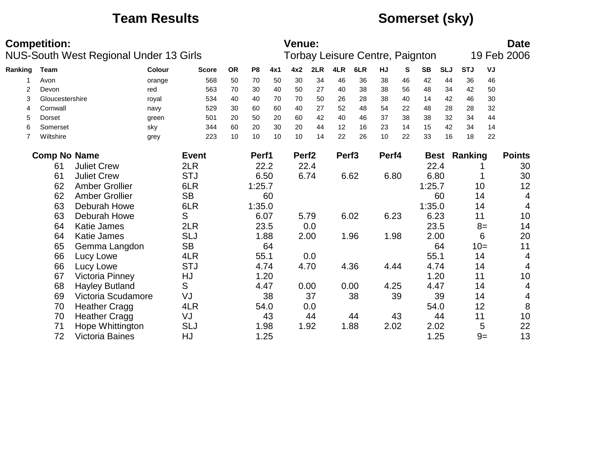## **Team Results Somerset (sky)**

|         | <b>Competition:</b>             |                                               |            |              |           |                |      | <b>Venue:</b>     |      |                   |                                 |       |      |           |            |                     |       | <b>Date</b>   |
|---------|---------------------------------|-----------------------------------------------|------------|--------------|-----------|----------------|------|-------------------|------|-------------------|---------------------------------|-------|------|-----------|------------|---------------------|-------|---------------|
|         |                                 | <b>NUS-South West Regional Under 13 Girls</b> |            |              |           |                |      |                   |      |                   | Torbay Leisure Centre, Paignton |       |      |           |            |                     |       | 19 Feb 2006   |
| Ranking | Team                            |                                               | Colour     | <b>Score</b> | <b>OR</b> | P <sub>8</sub> | 4x1  | 4x2               | 2LR  | 4LR               | 6LR                             | HJ    | S    | <b>SB</b> | <b>SLJ</b> | <b>STJ</b>          | VJ    |               |
|         | Avon                            |                                               | orange     | 568          | 50        | 70             | 50   | 30                | 34   | 46                | 36                              | 38    | 46   | 42        | 44         | 36                  | 46    |               |
| 2       | Devon                           |                                               | red        | 563          | 70        | 30             | 40   | 50                | 27   | 40                | 38                              | 38    | 56   | 48        | 34         | 42                  | 50    |               |
| 3       | Gloucestershire                 |                                               | royal      | 534          | 40        | 40             | 70   | 70                | 50   | 26                | 28                              | 38    | 40   | 14        | 42         | 46                  | 30    |               |
| 4       | Cornwall                        |                                               | navy       | 529          | 30        | 60             | 60   | 40                | 27   | 52                | 48                              | 54    | 22   | 48        | 28         | 28                  | 32    |               |
| 5       | Dorset                          |                                               | green      | 501          | 20        | 50             | 20   | 60                | 42   | 40                | 46                              | 37    | 38   | 38        | 32         | 34                  | 44    |               |
| 6       | Somerset                        |                                               | sky        | 344          | 60        | 20             | 30   | 20                | 44   | 12                | 16                              | 23    | 14   | 15        | 42         | 34                  | 14    |               |
| 7       | Wiltshire                       |                                               | grey       | 223          | 10        | 10             | 10   | 10                | 14   | 22                | 26                              | 10    | 22   | 33        | 16         | 18                  | 22    |               |
|         | <b>Comp No Name</b>             |                                               |            | <b>Event</b> |           | Perf1          |      | Perf <sub>2</sub> |      | Perf <sub>3</sub> |                                 | Perf4 |      |           |            | <b>Best Ranking</b> |       | <b>Points</b> |
|         | 2LR<br>61<br><b>Juliet Crew</b> |                                               |            |              |           |                |      |                   | 22.4 |                   |                                 |       |      | 22.4      |            |                     |       | 30            |
|         | <b>Juliet Crew</b><br>61        |                                               | <b>STJ</b> |              | 6.50      | 22.2           |      | 6.74              |      | 6.62              | 6.80                            |       | 6.80 |           |            |                     | 30    |               |
|         | 62                              | <b>Amber Grollier</b>                         |            | 6LR          |           | 1:25.7         |      |                   |      |                   |                                 |       |      | 1:25.7    |            |                     | 10    | 12            |
|         | 62                              | <b>Amber Grollier</b>                         |            | <b>SB</b>    |           |                | 60   |                   |      |                   |                                 |       |      |           | 60         |                     | 14    | 4             |
|         | 63                              | Deburah Howe                                  |            | 6LR          |           | 1:35.0         |      |                   |      |                   |                                 |       |      | 1:35.0    |            |                     | 14    | 4             |
|         | 63                              | Deburah Howe                                  |            | S            |           | 6.07           |      | 5.79              |      |                   | 6.02                            | 6.23  |      | 6.23      |            | 11                  |       | 10            |
|         | 64                              | <b>Katie James</b>                            |            | 2LR          |           |                | 23.5 |                   | 0.0  |                   |                                 |       |      | 23.5      |            |                     | $8=$  | 14            |
|         | 64                              | <b>Katie James</b>                            |            | <b>SLJ</b>   |           | 1.88           |      |                   | 2.00 |                   | 1.96                            | 1.98  |      | 2.00      |            |                     | 6     | 20            |
|         | 65                              | Gemma Langdon                                 |            | <b>SB</b>    |           |                | 64   |                   |      |                   |                                 |       |      |           | 64         |                     | $10=$ | 11            |
|         | 66                              | Lucy Lowe                                     |            | 4LR          |           | 55.1           |      |                   | 0.0  |                   |                                 |       |      | 55.1      |            |                     | 14    | 4             |
|         | 66                              | Lucy Lowe                                     |            | <b>STJ</b>   |           | 4.74           |      | 4.70              |      |                   | 4.36                            | 4.44  |      | 4.74      |            |                     | 14    | 4             |
|         | 67                              | <b>Victoria Pinney</b>                        |            | HJ           |           |                | 1.20 |                   |      |                   |                                 |       |      | 1.20      |            | 11                  |       | 10            |
|         | 68                              | <b>Hayley Butland</b>                         |            | S            |           | 4.47           |      | 0.00              |      |                   | 0.00                            | 4.25  |      | 4.47      |            |                     | 14    | 4             |
|         | 69                              | Victoria Scudamore                            |            | VJ           |           |                | 38   |                   | 37   |                   | 38                              |       | 39   |           | 39         |                     | 14    | 4             |
|         | 70                              | <b>Heather Cragg</b>                          |            | 4LR          |           | 54.0           |      |                   | 0.0  |                   |                                 |       |      | 54.0      |            |                     | 12    | 8             |
|         | 70                              | <b>Heather Cragg</b>                          |            | VJ           |           |                | 43   |                   | 44   |                   | 44                              |       | 43   |           | 44         | 11                  |       | 10            |
|         | 71                              | Hope Whittington                              |            | <b>SLJ</b>   |           |                | 1.98 |                   | 1.92 |                   | 1.88                            | 2.02  |      | 2.02      |            |                     | 5     | 22            |
|         | 72                              | <b>Victoria Baines</b>                        |            | HJ           |           | 1.25           |      |                   |      |                   |                                 |       |      | 1.25      |            |                     | $9=$  | 13            |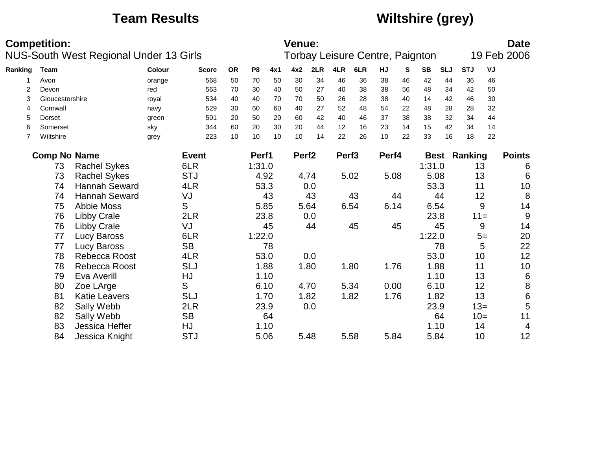## **Team Results Wiltshire (grey)**

|         | <b>Competition:</b>                     | <b>NUS-South West Regional Under 13 Girls</b> |               |              |           |        |      | Venue:            |      |                   | Torbay Leisure Centre, Paignton |       |      |           |            |                     |        | <b>Date</b><br>19 Feb 2006 |
|---------|-----------------------------------------|-----------------------------------------------|---------------|--------------|-----------|--------|------|-------------------|------|-------------------|---------------------------------|-------|------|-----------|------------|---------------------|--------|----------------------------|
| Ranking | Team                                    |                                               | <b>Colour</b> | <b>Score</b> | <b>OR</b> | P8     | 4x1  | 4x2               | 2LR  | 4LR               | 6LR                             | HJ    | S    | <b>SB</b> | <b>SLJ</b> | <b>STJ</b>          | VJ     |                            |
|         | Avon                                    |                                               | orange        | 568          | 50        | 70     | 50   | 30                | 34   | 46                | 36                              | 38    | 46   | 42        | 44         | 36                  | 46     |                            |
| 2       | Devon                                   |                                               | red           | 563          | 70        | 30     | 40   | 50                | 27   | 40                | 38                              | 38    | 56   | 48        | 34         | 42                  | 50     |                            |
| 3       | Gloucestershire                         |                                               | royal         | 534          | 40        | 40     | 70   | 70                | 50   | 26                | 28                              | 38    | 40   | 14        | 42         | 46                  | 30     |                            |
| 4       | Cornwall                                |                                               | navy          | 529          | 30        | 60     | 60   | 40                | 27   | 52                | 48                              | 54    | 22   | 48        | 28         | 28                  | 32     |                            |
| 5       | Dorset                                  |                                               | green         | 501          | 20        | 50     | 20   | 60                | 42   | 40                | 46                              | 37    | 38   | 38        | 32         | 34                  | 44     |                            |
| 6       | Somerset                                |                                               | sky           | 344          | 60        | 20     | 30   | 20                | 44   | 12                | 16                              | 23    | 14   | 15        | 42         | 34                  | 14     |                            |
| 7       | Wiltshire                               |                                               | grey          | 223          | 10        | 10     | 10   | 10                | 14   | 22                | 26                              | 10    | 22   | 33        | 16         | 18                  | 22     |                            |
|         | <b>Comp No Name</b>                     |                                               |               | <b>Event</b> |           | Perf1  |      | Perf <sub>2</sub> |      | Perf <sub>3</sub> |                                 | Perf4 |      |           |            | <b>Best Ranking</b> |        | <b>Points</b>              |
|         | 73                                      | <b>Rachel Sykes</b>                           |               | 6LR          |           | 1:31.0 |      |                   |      |                   |                                 |       |      | 1:31.0    |            | 13                  |        | 6                          |
|         | 73<br><b>Rachel Sykes</b><br><b>STJ</b> |                                               |               |              |           | 4.92   |      | 4.74              |      |                   | 5.02                            | 5.08  |      | 5.08      |            | 13                  |        | $6\phantom{1}6$            |
|         | 74                                      | <b>Hannah Seward</b>                          |               | 4LR          |           | 53.3   |      |                   | 0.0  |                   |                                 |       |      | 53.3      |            | 11                  |        | 10                         |
|         | 74                                      | <b>Hannah Seward</b>                          |               | VJ           |           |        | 43   |                   | 43   |                   | 43                              |       | 44   |           | 44         |                     | 12     | 8                          |
|         | 75                                      | <b>Abbie Moss</b>                             |               | S            |           | 5.85   |      |                   | 5.64 |                   | 6.54                            | 6.14  |      | 6.54      |            |                     | 9      | 14                         |
|         | 76                                      | <b>Libby Crale</b>                            |               | 2LR          |           |        | 23.8 |                   | 0.0  |                   |                                 |       |      | 23.8      |            | $11 =$              |        | 9                          |
|         | 76                                      | <b>Libby Crale</b>                            |               | VJ           |           |        | 45   |                   | 44   |                   | 45                              |       | 45   |           | 45         |                     | 9      | 14                         |
|         | 77                                      | Lucy Baross                                   |               | 6LR          |           | 1:22.0 |      |                   |      |                   |                                 |       |      | 1:22.0    |            |                     | $5=$   | 20                         |
|         | 77                                      | <b>Lucy Baross</b>                            |               | <b>SB</b>    |           |        | 78   |                   |      |                   |                                 |       |      |           | 78         |                     | 5      | 22                         |
|         | 78                                      | Rebecca Roost                                 |               | 4LR          |           |        | 53.0 |                   | 0.0  |                   |                                 |       |      | 53.0      |            | 10                  |        | 12                         |
|         | 78                                      | Rebecca Roost                                 |               | <b>SLJ</b>   |           |        | 1.88 | 1.80              |      |                   | 1.80                            | 1.76  |      | 1.88      |            | 11                  |        | 10                         |
|         | 79                                      | Eva Averill                                   |               | HJ           |           |        | 1.10 |                   |      |                   |                                 |       |      | 1.10      |            | 13                  |        | $\,6$                      |
|         | 80                                      | Zoe LArge                                     |               | S            |           | 6.10   |      |                   | 4.70 |                   | 5.34                            | 0.00  |      | 6.10      |            |                     | 12     | $\bf 8$                    |
|         | 81                                      | <b>Katie Leavers</b>                          |               | <b>SLJ</b>   |           |        | 1.70 |                   | 1.82 |                   | 1.82                            | 1.76  |      | 1.82      |            |                     | 13     | $\,$ 6 $\,$                |
|         | 82                                      | Sally Webb                                    |               | 2LR          |           |        | 23.9 |                   | 0.0  |                   |                                 |       |      | 23.9      |            |                     | $13 =$ | 5                          |
|         | 82                                      | Sally Webb                                    |               | <b>SB</b>    |           |        | 64   |                   |      |                   |                                 |       |      |           | 64         |                     | $10=$  | 11                         |
|         | 83                                      | Jessica Heffer                                |               | HJ           |           |        | 1.10 |                   |      |                   |                                 |       |      | 1.10      |            | 14                  |        | 4                          |
|         | 84                                      | <b>STJ</b><br>Jessica Knight                  |               |              | 5.06      |        | 5.48 |                   |      | 5.58              | 5.84                            |       | 5.84 |           | 10         |                     | 12     |                            |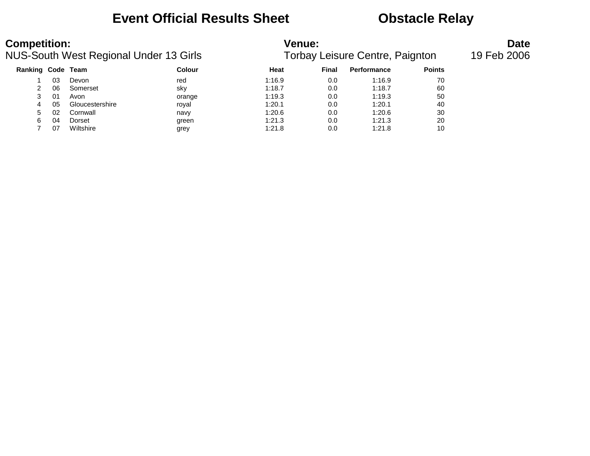### **Event Official Results Sheet <b>CEV** Obstacle Relay

| <b>Competition:</b> |    | NUS-South West Regional Under 13 Girls |               | <b>Venue:</b> |       | <b>Torbay Leisure Centre, Paignton</b> |               | <b>Date</b><br>19 Feb 2006 |
|---------------------|----|----------------------------------------|---------------|---------------|-------|----------------------------------------|---------------|----------------------------|
| Ranking Code Team   |    |                                        | <b>Colour</b> | Heat          | Final | <b>Performance</b>                     | <b>Points</b> |                            |
|                     | 03 | Devon                                  | red           | 1:16.9        | 0.0   | 1:16.9                                 | 70            |                            |
|                     | 06 | Somerset                               | sky           | 1:18.7        | 0.0   | 1:18.7                                 | 60            |                            |
| 3                   | 01 | Avon                                   | orange        | 1:19.3        | 0.0   | 1:19.3                                 | 50            |                            |
| 4                   | 05 | Gloucestershire                        | royal         | 1:20.1        | 0.0   | 1:20.1                                 | 40            |                            |
| 5                   | 02 | Cornwall                               | navy          | 1:20.6        | 0.0   | 1:20.6                                 | 30            |                            |
| 6                   | 04 | Dorset                                 | green         | 1:21.3        | 0.0   | 1:21.3                                 | 20            |                            |
|                     | 07 | Wiltshire                              | grey          | 1:21.8        | 0.0   | 1:21.8                                 | 10            |                            |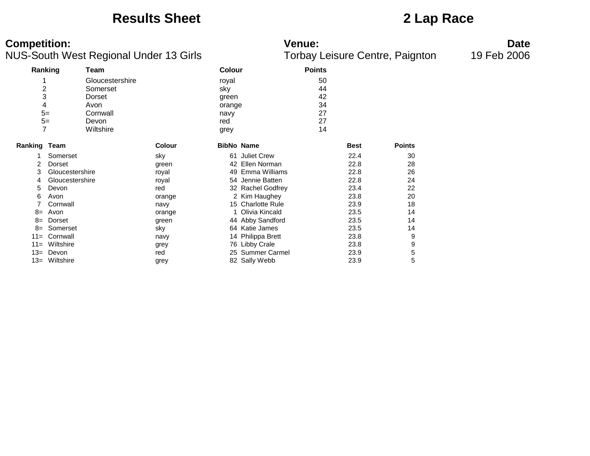### **Results Sheet 2 Lap Race**

### **Competition: Venue: Date**

|                     | Ranking         | Team            |               | Colour            |                   | <b>Points</b> |             |               |
|---------------------|-----------------|-----------------|---------------|-------------------|-------------------|---------------|-------------|---------------|
|                     |                 | Gloucestershire |               | royal             |                   | 50            |             |               |
|                     | $\overline{c}$  | Somerset        |               | sky               |                   | 44            |             |               |
|                     | 3               | Dorset          |               | green             |                   | 42            |             |               |
|                     | 4               | Avon            |               | orange            |                   | 34            |             |               |
|                     | $5=$            | Cornwall        |               | navy              |                   | 27            |             |               |
|                     | $5=$            | Devon           |               | red               |                   | 27            |             |               |
|                     | 7               | Wiltshire       |               | grey              |                   | 14            |             |               |
|                     |                 |                 |               |                   |                   |               |             |               |
| <b>Ranking Team</b> |                 |                 | <b>Colour</b> | <b>BibNo Name</b> |                   |               | <b>Best</b> | <b>Points</b> |
| 1                   | Somerset        |                 | sky           |                   | 61 Juliet Crew    |               | 22.4        | 30            |
| 2                   | Dorset          |                 | green         | 42                | Ellen Norman      |               | 22.8        | 28            |
| 3                   | Gloucestershire |                 | royal         | 49                | Emma Williams     |               | 22.8        | 26            |
| 4                   | Gloucestershire |                 | royal         |                   | 54 Jennie Batten  |               | 22.8        | 24            |
| 5                   | Devon           |                 | red           |                   | 32 Rachel Godfrey |               | 23.4        | 22            |
| 6                   | Avon            |                 | orange        |                   | 2 Kim Haughey     |               | 23.8        | 20            |
|                     | Cornwall        |                 | navy          |                   | 15 Charlotte Rule |               | 23.9        | 18            |
| $8=$                | Avon            |                 | orange        |                   | Olivia Kincald    |               | 23.5        | 14            |
| $8=$                | Dorset          |                 | green         |                   | 44 Abby Sandford  |               | 23.5        | 14            |
| $8=$                | Somerset        |                 | sky           |                   | 64 Katie James    |               | 23.5        | 14            |
| $11 =$              | Cornwall        |                 | navy          |                   | 14 Philippa Brett |               | 23.8        | 9             |
| $11 =$              | Wiltshire       |                 | grey          |                   | 76 Libby Crale    |               | 23.8        | 9             |
| $13=$               | Devon           |                 | red           |                   | 25 Summer Carmel  |               | 23.9        | 5             |
| $13=$               | Wiltshire       |                 | grey          |                   | 82 Sally Webb     |               | 23.9        | 5             |
|                     |                 |                 |               |                   |                   |               |             |               |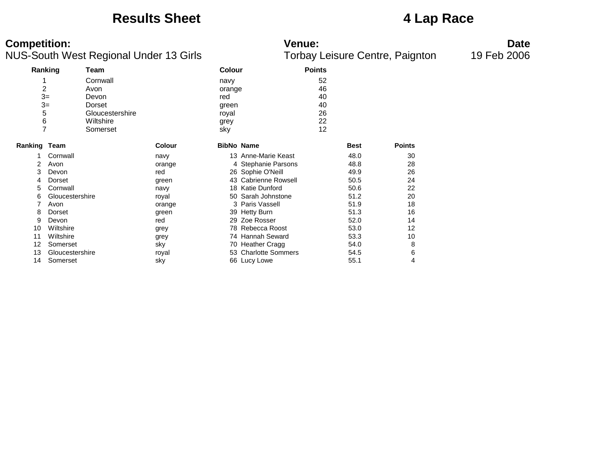### **Results Sheet 4 Lap Race**

### **Competition: Venue: Date**

| Ranking             |                 | Team            |               | <b>Colour</b>     |                      | <b>Points</b> |             |               |
|---------------------|-----------------|-----------------|---------------|-------------------|----------------------|---------------|-------------|---------------|
|                     |                 | Cornwall        |               | navy              |                      | 52            |             |               |
| 2                   |                 | Avon            |               | orange            |                      | 46            |             |               |
| $3=$                |                 | Devon           |               | red               |                      | 40            |             |               |
| $3=$                |                 | Dorset          |               | green             |                      | 40            |             |               |
| 5                   |                 | Gloucestershire |               | royal             |                      | 26            |             |               |
| 6                   |                 | Wiltshire       |               |                   |                      | 22            |             |               |
| $\overline{7}$      |                 |                 |               | grey              |                      | 12            |             |               |
|                     |                 | Somerset        |               | sky               |                      |               |             |               |
| <b>Ranking Team</b> |                 |                 | <b>Colour</b> | <b>BibNo Name</b> |                      |               | <b>Best</b> | <b>Points</b> |
|                     | Cornwall        |                 | navy          |                   | 13 Anne-Marie Keast  |               | 48.0        | 30            |
| 2                   | Avon            |                 | orange        |                   | 4 Stephanie Parsons  |               | 48.8        | 28            |
| 3                   | Devon           |                 | red           |                   | 26 Sophie O'Neill    |               | 49.9        | 26            |
| 4                   | Dorset          |                 | green         |                   | 43 Cabrienne Rowsell |               | 50.5        | 24            |
| 5                   | Cornwall        |                 | navy          |                   | 18 Katie Dunford     |               | 50.6        | 22            |
| 6                   | Gloucestershire |                 | royal         |                   | 50 Sarah Johnstone   |               | 51.2        | 20            |
| 7                   | Avon            |                 | orange        |                   | 3 Paris Vassell      |               | 51.9        | 18            |
| 8                   | Dorset          |                 | green         |                   | 39 Hetty Burn        |               | 51.3        | 16            |
| 9                   | Devon           |                 | red           |                   | 29 Zoe Rosser        |               | 52.0        | 14            |
| 10                  | Wiltshire       |                 | grey          |                   | 78 Rebecca Roost     |               | 53.0        | 12            |
| 11                  | Wiltshire       |                 | grey          |                   | 74 Hannah Seward     |               | 53.3        | 10            |
| 12                  | Somerset        |                 | sky           |                   | 70 Heather Cragg     |               | 54.0        | 8             |
| 13                  | Gloucestershire |                 | royal         |                   | 53 Charlotte Sommers |               | 54.5        | 6             |
| 14                  | Somerset        |                 | sky           |                   | 66 Lucy Lowe         |               | 55.1        | 4             |
|                     |                 |                 |               |                   |                      |               |             |               |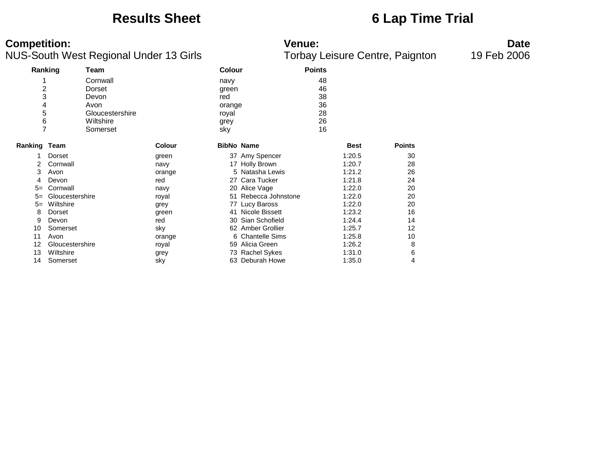### **Results Sheet 6 Lap Time Trial**

### **Competition: Venue: Date**

|                |                 | ັ               |               |                   |                   | ◢             |             | ັ             |
|----------------|-----------------|-----------------|---------------|-------------------|-------------------|---------------|-------------|---------------|
| Ranking        |                 | Team            |               | <b>Colour</b>     |                   | <b>Points</b> |             |               |
|                |                 | Cornwall        |               | navy              |                   | 48            |             |               |
| $\overline{c}$ |                 | Dorset          |               | green             |                   | 46            |             |               |
| 3              |                 | Devon           |               | red               |                   | 38            |             |               |
| 4              |                 | Avon            |               | orange            |                   | 36            |             |               |
| 5              |                 | Gloucestershire |               | royal             |                   | 28            |             |               |
| 6              |                 | Wiltshire       |               | grey              |                   | 26            |             |               |
| 7              |                 | Somerset        |               | sky               |                   | 16            |             |               |
| Ranking Team   |                 |                 | <b>Colour</b> | <b>BibNo Name</b> |                   |               | <b>Best</b> | <b>Points</b> |
|                | Dorset          |                 | green         |                   | 37 Amy Spencer    |               | 1:20.5      | 30            |
| 2              | Cornwall        |                 | navy          |                   | 17 Holly Brown    |               | 1:20.7      | 28            |
| 3              | Avon            |                 | orange        |                   | 5 Natasha Lewis   |               | 1:21.2      | 26            |
| 4              | Devon           |                 | red           | 27                | Cara Tucker       |               | 1:21.8      | 24            |
| $5=$           | Cornwall        |                 | navy          |                   | 20 Alice Vage     |               | 1:22.0      | 20            |
| $5=$           | Gloucestershire |                 | royal         | 51                | Rebecca Johnstone |               | 1:22.0      | 20            |
| $5=$           | Wiltshire       |                 | grey          | 77                | Lucy Baross       |               | 1:22.0      | 20            |
| 8              | Dorset          |                 | green         | 41                | Nicole Bissett    |               | 1:23.2      | 16            |
| 9              | Devon           |                 | red           | 30                | Sian Schofield    |               | 1:24.4      | 14            |
| 10             | Somerset        |                 | sky           |                   | 62 Amber Grollier |               | 1:25.7      | 12            |
| 11             | Avon            |                 | orange        |                   | 6 Chantelle Sims  |               | 1:25.8      | 10            |
| 12             | Gloucestershire |                 | royal         |                   | 59 Alicia Green   |               | 1:26.2      | 8             |
| 13             | Wiltshire       |                 | grey          |                   | 73 Rachel Sykes   |               | 1:31.0      | 6             |
| 14             | Somerset        |                 | sky           | 63                | Deburah Howe      |               | 1:35.0      | 4             |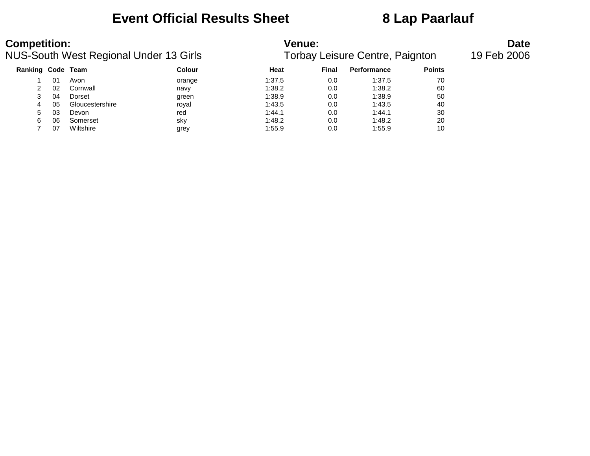## **Event Official Results Sheet 8 Lap Paarlauf**

| <b>Competition:</b><br>NUS-South West Regional Under 13 Girls |    |                 |        | <b>Venue:</b><br>Torbay Leisure Centre, Paignton | <b>Date</b><br>19 Feb 2006 |             |               |  |
|---------------------------------------------------------------|----|-----------------|--------|--------------------------------------------------|----------------------------|-------------|---------------|--|
| Ranking Code Team                                             |    |                 | Colour | Heat                                             | Final                      | Performance | <b>Points</b> |  |
|                                                               | 01 | Avon            | orange | 1:37.5                                           | 0.0                        | 1:37.5      | 70            |  |
|                                                               | 02 | Cornwall        | navy   | 1:38.2                                           | 0.0                        | 1:38.2      | 60            |  |
| 3                                                             | 04 | Dorset          | green  | 1:38.9                                           | 0.0                        | 1:38.9      | 50            |  |
| 4                                                             | 05 | Gloucestershire | royal  | 1:43.5                                           | 0.0                        | 1:43.5      | 40            |  |
| 5                                                             | 03 | Devon           | red    | 1:44.1                                           | 0.0                        | 1:44.1      | 30            |  |
| 6                                                             | 06 | Somerset        | sky    | 1:48.2                                           | 0.0                        | 1:48.2      | 20            |  |
|                                                               | 07 | Wiltshire       | grey   | 1:55.9                                           | 0.0                        | 1:55.9      | 10            |  |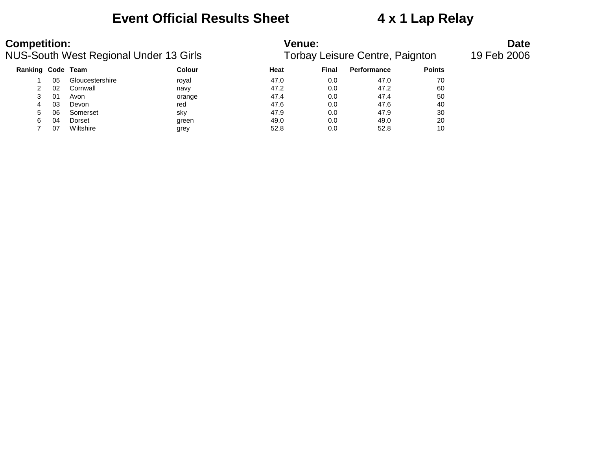## **Event Official Results Sheet 4 x 1 Lap Relay**

| <b>Competition:</b><br>NUS-South West Regional Under 13 Girls |    |                 | <b>Venue:</b><br>Torbay Leisure Centre, Paignton | <b>Date</b><br>19 Feb 2006 |       |                    |               |  |
|---------------------------------------------------------------|----|-----------------|--------------------------------------------------|----------------------------|-------|--------------------|---------------|--|
| Ranking Code Team                                             |    |                 | Colour                                           | Heat                       | Final | <b>Performance</b> | <b>Points</b> |  |
|                                                               | 05 | Gloucestershire | royal                                            | 47.0                       | 0.0   | 47.0               | 70            |  |
|                                                               | 02 | Cornwall        | navy                                             | 47.2                       | 0.0   | 47.2               | 60            |  |
| 3                                                             | 01 | Avon            | orange                                           | 47.4                       | 0.0   | 47.4               | 50            |  |
| 4                                                             | 03 | Devon           | red                                              | 47.6                       | 0.0   | 47.6               | 40            |  |
| 5                                                             | 06 | Somerset        | sky                                              | 47.9                       | 0.0   | 47.9               | 30            |  |
| 6                                                             | 04 | Dorset          | green                                            | 49.0                       | 0.0   | 49.0               | 20            |  |
|                                                               | 07 | Wiltshire       | grey                                             | 52.8                       | 0.0   | 52.8               | 10            |  |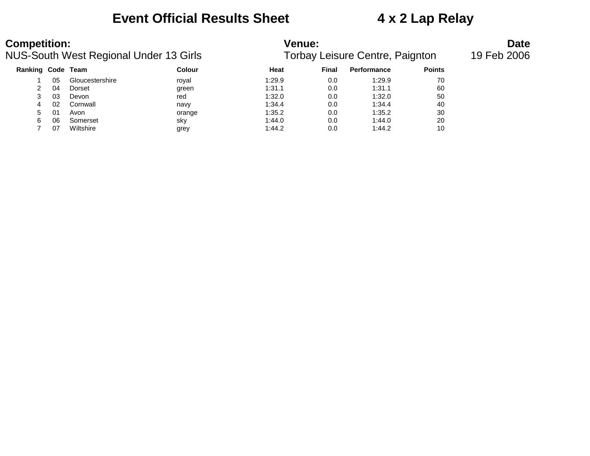### **Event Official Results Sheet 4 x 2 Lap Relay**

| <b>Competition:</b><br>NUS-South West Regional Under 13 Girls |    |                 |               | <b>Venue:</b><br>Torbay Leisure Centre, Paignton | <b>Date</b><br>19 Feb 2006 |                    |               |  |
|---------------------------------------------------------------|----|-----------------|---------------|--------------------------------------------------|----------------------------|--------------------|---------------|--|
| <b>Ranking Code Team</b>                                      |    |                 | <b>Colour</b> | Heat                                             | Final                      | <b>Performance</b> | <b>Points</b> |  |
|                                                               | 05 | Gloucestershire | roval         | 1:29.9                                           | 0.0                        | 1:29.9             | 70            |  |
|                                                               | 04 | Dorset          | green         | 1:31.1                                           | 0.0                        | 1:31.1             | 60            |  |
|                                                               | 03 | Devon           | red           | 1:32.0                                           | 0.0                        | 1:32.0             | 50            |  |
| 4                                                             | 02 | Cornwall        | navy          | 1:34.4                                           | 0.0                        | 1:34.4             | 40            |  |
| 5.                                                            | 01 | Avon            | orange        | 1:35.2                                           | 0.0                        | 1:35.2             | 30            |  |
|                                                               | 06 | Somerset        | sky           | 1:44.0                                           | 0.0                        | 1:44.0             | 20            |  |

07 Wiltshire grey 1:44.2 0.0 1:44.2 10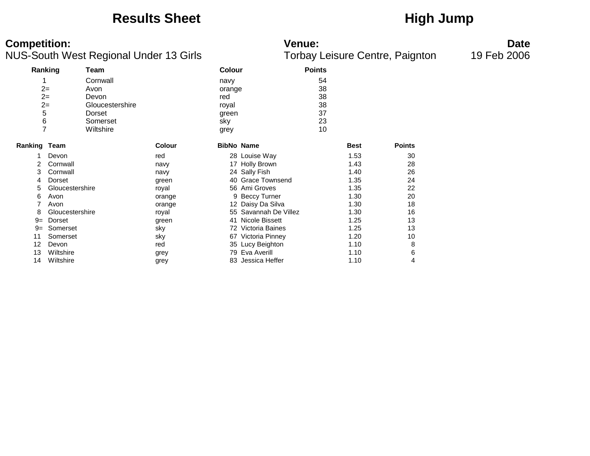### Results Sheet **High Jump**

### **Competition: Venue: Date**

|                     |                 |                 |               |                   |                       | ╯             |             |               |
|---------------------|-----------------|-----------------|---------------|-------------------|-----------------------|---------------|-------------|---------------|
| Ranking             |                 | Team            |               | Colour            |                       | <b>Points</b> |             |               |
|                     |                 | Cornwall        |               | navy              |                       | 54            |             |               |
| $2 =$               |                 | Avon            |               | orange            |                       | 38            |             |               |
| $2=$                |                 | Devon           |               | red               |                       | 38            |             |               |
| $2 =$               |                 | Gloucestershire |               | royal             |                       | 38            |             |               |
| 5                   |                 | Dorset          |               | green             |                       | 37            |             |               |
| 6                   |                 | Somerset        |               | sky               |                       | 23            |             |               |
| $\overline{7}$      |                 | Wiltshire       |               | grey              |                       | 10            |             |               |
|                     |                 |                 |               |                   |                       |               |             |               |
| <b>Ranking Team</b> |                 |                 | <b>Colour</b> | <b>BibNo Name</b> |                       |               | <b>Best</b> | <b>Points</b> |
|                     | Devon           |                 | red           |                   | 28 Louise Way         |               | 1.53        | 30            |
| 2                   | Cornwall        |                 | navy          |                   | 17 Holly Brown        |               | 1.43        | 28            |
| 3                   | Cornwall        |                 | navy          |                   | 24 Sally Fish         |               | 1.40        | 26            |
| 4                   | Dorset          |                 | green         |                   | 40 Grace Townsend     |               | 1.35        | 24            |
| 5.                  | Gloucestershire |                 | royal         |                   | 56 Ami Groves         |               | 1.35        | 22            |
| 6                   | Avon            |                 | orange        |                   | 9 Beccy Turner        |               | 1.30        | 20            |
| 7                   | Avon            |                 | orange        |                   | 12 Daisy Da Silva     |               | 1.30        | 18            |
| 8                   | Gloucestershire |                 | royal         |                   | 55 Savannah De Villez |               | 1.30        | 16            |
| $9 =$               | Dorset          |                 | green         | 41                | Nicole Bissett        |               | 1.25        | 13            |
| $9 =$               | Somerset        |                 | sky           |                   | 72 Victoria Baines    |               | 1.25        | 13            |
| 11                  | Somerset        |                 | sky           |                   | 67 Victoria Pinney    |               | 1.20        | 10            |
| 12                  | Devon           |                 | red           |                   | 35 Lucy Beighton      |               | 1.10        | 8             |
| 13                  | Wiltshire       |                 | grey          |                   | 79 Eva Averill        |               | 1.10        | 6             |
| 14                  | Wiltshire       |                 | grey          |                   | 83 Jessica Heffer     |               | 1.10        | 4             |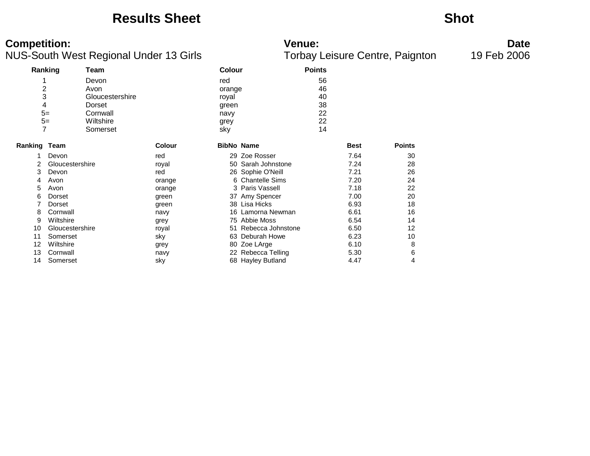### **Results Sheet Shot**

### **Competition: Venue: Date**

|                     | Ranking         | Team            |               | <b>Colour</b> |                    | <b>Points</b> |             |               |
|---------------------|-----------------|-----------------|---------------|---------------|--------------------|---------------|-------------|---------------|
|                     |                 | Devon           |               | red           |                    | 56            |             |               |
| $\overline{c}$      |                 | Avon            |               | orange        |                    | 46            |             |               |
| 3                   |                 | Gloucestershire |               | royal         |                    | 40            |             |               |
| 4                   |                 | Dorset          |               | green         |                    | 38            |             |               |
| $5=$                |                 | Cornwall        |               | navy          |                    | 22            |             |               |
|                     | $5=$            | Wiltshire       |               | grey          |                    | 22            |             |               |
| 7                   |                 | Somerset        |               | sky           |                    | 14            |             |               |
| <b>Ranking Team</b> |                 |                 | <b>Colour</b> |               | <b>BibNo Name</b>  |               | <b>Best</b> | <b>Points</b> |
|                     | Devon           |                 | red           |               | 29 Zoe Rosser      |               | 7.64        | 30            |
|                     | Gloucestershire |                 | royal         |               | 50 Sarah Johnstone |               | 7.24        | 28            |
| 3                   | Devon           |                 | red           |               | 26 Sophie O'Neill  |               | 7.21        | 26            |
| 4                   | Avon            |                 | orange        |               | 6 Chantelle Sims   |               | 7.20        | 24            |
| 5                   | Avon            |                 | orange        |               | 3 Paris Vassell    |               | 7.18        | 22            |
| 6                   | Dorset          |                 | green         |               | 37 Amy Spencer     |               | 7.00        | 20            |
|                     | Dorset          |                 | green         |               | 38 Lisa Hicks      |               | 6.93        | 18            |
| 8                   | Cornwall        |                 | navy          |               | 16 Lamorna Newman  |               | 6.61        | 16            |
| 9                   | Wiltshire       |                 | grey          |               | 75 Abbie Moss      |               | 6.54        | 14            |
| 10                  | Gloucestershire |                 | royal         | 51            | Rebecca Johnstone  |               | 6.50        | 12            |
| 11                  | Somerset        |                 | sky           |               | 63 Deburah Howe    |               | 6.23        | 10            |
| 12                  | Wiltshire       |                 | grey          |               | 80 Zoe LArge       |               | 6.10        | 8             |
| 13                  | Cornwall        |                 | navy          |               | 22 Rebecca Telling |               | 5.30        | 6             |
| 14                  | Somerset        |                 | sky           |               | 68 Hayley Butland  |               | 4.47        | 4             |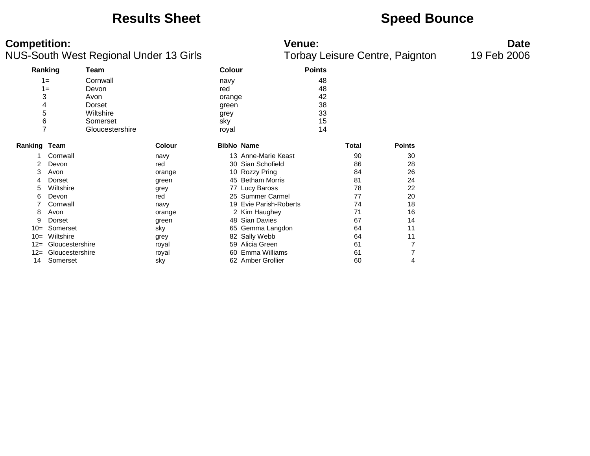### **Results Sheet <b>Speed Bounce Speed Bounce**

### **Competition: Venue: Date**

|                     |                 | ັ               |               |                   |                            | ◢             |              | ັ             |
|---------------------|-----------------|-----------------|---------------|-------------------|----------------------------|---------------|--------------|---------------|
|                     | Ranking         | Team            |               | <b>Colour</b>     |                            | <b>Points</b> |              |               |
|                     | $1 =$           | Cornwall        |               | navy              |                            | 48            |              |               |
|                     | $1 =$           | Devon           |               | red               |                            | 48            |              |               |
| 3                   |                 | Avon            |               | orange            |                            | 42            |              |               |
| 4                   |                 | Dorset          |               | green             |                            | 38            |              |               |
| 5                   |                 | Wiltshire       |               | grey              |                            | 33            |              |               |
| 6                   |                 | Somerset        |               | sky               |                            | 15            |              |               |
| $\overline{7}$      |                 | Gloucestershire |               | royal             |                            | 14            |              |               |
| <b>Ranking Team</b> |                 |                 | <b>Colour</b> | <b>BibNo Name</b> |                            |               | <b>Total</b> | <b>Points</b> |
|                     | Cornwall        |                 | navy          |                   | 13 Anne-Marie Keast        |               | 90           | 30            |
| 2                   | Devon           |                 | red           | 30                | Sian Schofield             |               | 86           | 28            |
| 3                   | Avon            |                 | orange        |                   | 10 Rozzy Pring             |               | 84           | 26            |
| 4                   | Dorset          |                 | green         |                   | 45 Betham Morris           |               | 81           | 24            |
| 5                   | Wiltshire       |                 | grey          |                   | 77 Lucy Baross             |               | 78           | 22            |
| 6                   | Devon           |                 | red           |                   | 25 Summer Carmel           |               | 77           | 20            |
|                     | Cornwall        |                 | navy          | 19                | <b>Evie Parish-Roberts</b> |               | 74           | 18            |
| 8                   | Avon            |                 | orange        |                   | 2 Kim Haughey              |               | 71           | 16            |
| 9                   | Dorset          |                 | green         | 48                | <b>Sian Davies</b>         |               | 67           | 14            |
| $10=$               | Somerset        |                 | sky           | 65                | Gemma Langdon              |               | 64           | 11            |
| $10=$               | Wiltshire       |                 | grey          | 82                | Sally Webb                 |               | 64           | 11            |
| $12=$               | Gloucestershire |                 | royal         | 59                | Alicia Green               |               | 61           | 7             |
| $12 =$              | Gloucestershire |                 | royal         | 60                | Emma Williams              |               | 61           | 7             |
| 14                  | Somerset        |                 | sky           |                   | 62 Amber Grollier          |               | 60           | 4             |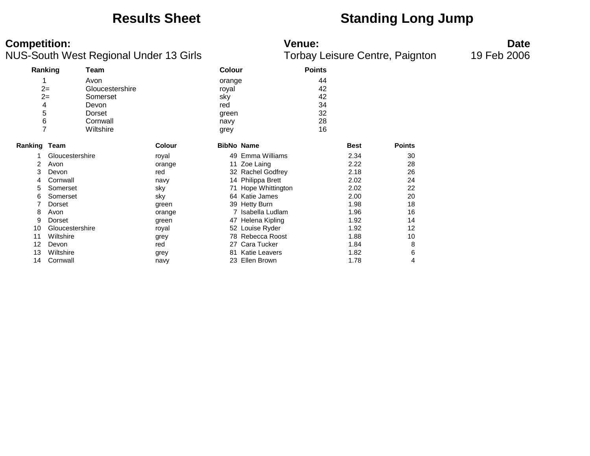## **Results Sheet Standing Long Jump**

### **Competition: Venue: Date**

| ັ                   |                 |                 |               |        | ◢                    |               | ັ           |               |
|---------------------|-----------------|-----------------|---------------|--------|----------------------|---------------|-------------|---------------|
|                     | Ranking         | Team            |               | Colour |                      | <b>Points</b> |             |               |
|                     |                 | Avon            |               | orange |                      | 44            |             |               |
|                     | $2 =$           | Gloucestershire |               | royal  |                      | 42            |             |               |
|                     | $2 =$           | Somerset        |               | sky    |                      | 42            |             |               |
| 4                   |                 | Devon           |               | red    |                      | 34            |             |               |
| 5                   |                 | Dorset          |               | green  |                      | 32            |             |               |
| 6                   |                 | Cornwall        |               | navy   |                      | 28            |             |               |
| 7                   |                 | Wiltshire       |               | grey   |                      | 16            |             |               |
| <b>Ranking Team</b> |                 |                 | <b>Colour</b> |        | <b>BibNo Name</b>    |               | <b>Best</b> | <b>Points</b> |
|                     | Gloucestershire |                 | royal         |        | 49 Emma Williams     |               | 2.34        | 30            |
| $\overline{2}$      | Avon            |                 | orange        | 11     | Zoe Laing            |               | 2.22        | 28            |
| 3                   | Devon           |                 | red           |        | 32 Rachel Godfrey    |               | 2.18        | 26            |
| 4                   | Cornwall        |                 | navy          |        | 14 Philippa Brett    |               | 2.02        | 24            |
| 5                   | Somerset        |                 | sky           |        | 71 Hope Whittington  |               | 2.02        | 22            |
| 6                   | Somerset        |                 | sky           |        | 64 Katie James       |               | 2.00        | 20            |
|                     | Dorset          |                 | green         |        | 39 Hetty Burn        |               | 1.98        | 18            |
| 8                   | Avon            |                 | orange        |        | 7 Isabella Ludlam    |               | 1.96        | 16            |
| 9                   | Dorset          |                 | green         | 47     | Helena Kipling       |               | 1.92        | 14            |
| 10                  | Gloucestershire |                 | royal         |        | 52 Louise Ryder      |               | 1.92        | 12            |
| 11                  | Wiltshire       |                 | grey          |        | 78 Rebecca Roost     |               | 1.88        | 10            |
| 12                  | Devon           |                 | red           |        | 27 Cara Tucker       |               | 1.84        | 8             |
| 13                  | Wiltshire       |                 | grey          | 81     | <b>Katie Leavers</b> |               | 1.82        | 6             |
| 14                  | Cornwall        |                 | navy          |        | 23 Ellen Brown       |               | 1.78        | 4             |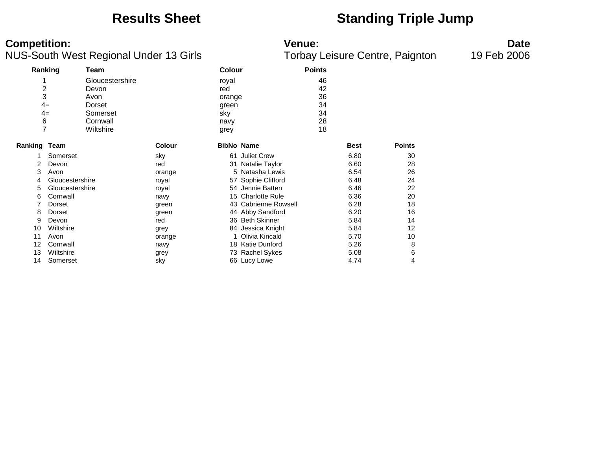### **Results Sheet Standing Triple Jump**

**Competition:**<br>**Date**<br>Torbay Leisure Centre, Paignton 19 Feb 2006<br>Torbay Leisure Centre, Paignton 19 Feb 2006 NUS-South West Regional Under 13 Girls

|                     | Ranking         | <b>Team</b>     |               | <b>Colour</b>     |                      | <b>Points</b> |             |               |
|---------------------|-----------------|-----------------|---------------|-------------------|----------------------|---------------|-------------|---------------|
|                     |                 | Gloucestershire |               | royal             |                      | 46            |             |               |
| 2                   |                 | Devon           |               | red               |                      | 42            |             |               |
| 3                   |                 | Avon            |               | orange            |                      | 36            |             |               |
| $4=$                |                 | Dorset          |               | green             |                      | 34            |             |               |
| $4=$                |                 | Somerset        |               | sky               |                      | 34            |             |               |
| 6                   |                 | Cornwall        |               | navy              |                      | 28            |             |               |
| $\overline{7}$      |                 | Wiltshire       |               |                   |                      | 18            |             |               |
|                     |                 |                 |               | grey              |                      |               |             |               |
| <b>Ranking Team</b> |                 |                 | <b>Colour</b> | <b>BibNo Name</b> |                      |               | <b>Best</b> | <b>Points</b> |
|                     | Somerset        |                 | sky           | 61                | <b>Juliet Crew</b>   |               | 6.80        | 30            |
| 2                   | Devon           |                 | red           | 31                | Natalie Taylor       |               | 6.60        | 28            |
| 3                   | Avon            |                 | orange        |                   | 5 Natasha Lewis      |               | 6.54        | 26            |
| 4                   | Gloucestershire |                 | royal         | 57                | Sophie Clifford      |               | 6.48        | 24            |
| 5                   | Gloucestershire |                 | royal         |                   | 54 Jennie Batten     |               | 6.46        | 22            |
| 6                   | Cornwall        |                 | navy          |                   | 15 Charlotte Rule    |               | 6.36        | 20            |
|                     | Dorset          |                 | green         |                   | 43 Cabrienne Rowsell |               | 6.28        | 18            |
| 8                   | Dorset          |                 | green         |                   | 44 Abby Sandford     |               | 6.20        | 16            |
| 9                   | Devon           |                 | red           |                   | 36 Beth Skinner      |               | 5.84        | 14            |
| 10                  | Wiltshire       |                 | grey          |                   | 84 Jessica Knight    |               | 5.84        | 12            |
| 11                  | Avon            |                 | orange        |                   | Olivia Kincald       |               | 5.70        | 10            |
| 12                  | Cornwall        |                 | navy          |                   | 18 Katie Dunford     |               | 5.26        | 8             |
| 13                  | Wiltshire       |                 | grey          |                   | 73 Rachel Sykes      |               | 5.08        | 6             |
| 14                  | Somerset        |                 | sky           |                   | 66 Lucy Lowe         |               | 4.74        | 4             |
|                     |                 |                 |               |                   |                      |               |             |               |